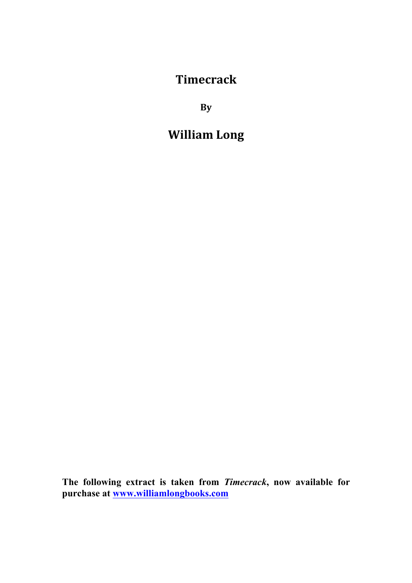**Timecrack**

**By**

# **William)Long**

**The following extract is taken from** *Timecrack***, now available for purchase at www.williamlongbooks.com**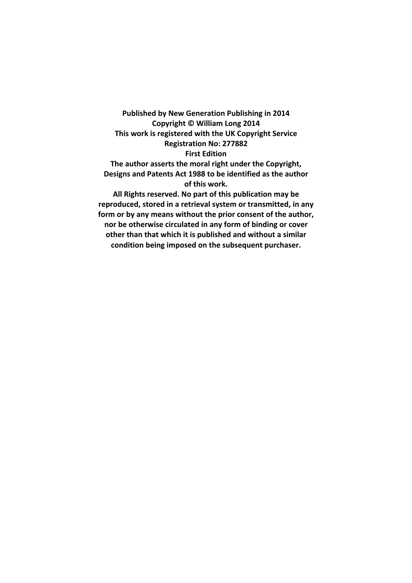Published by New Generation Publishing in 2014 Copyright © William Long 2014 This work is registered with the UK Copyright Service **Registration No: 277882 First Edition** The author asserts the moral right under the Copyright, Designs and Patents Act 1988 to be identified as the author **of this work.** All Rights reserved. No part of this publication may be reproduced, stored in a retrieval system or transmitted, in any form or by any means without the prior consent of the author, nor be otherwise circulated in any form of binding or cover other than that which it is published and without a similar

condition being imposed on the subsequent purchaser.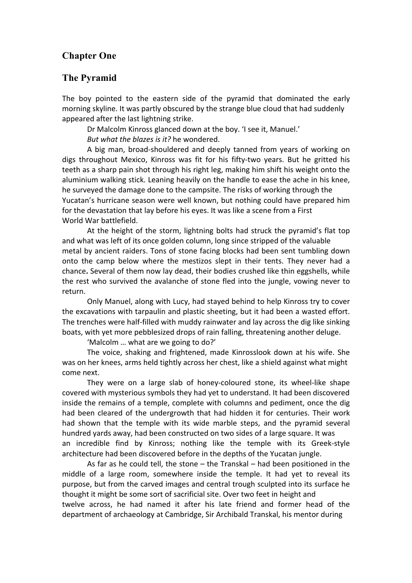#### **Chapter One**

#### **The Pyramid**

The boy pointed to the eastern side of the pyramid that dominated the early morning skyline. It was partly obscured by the strange blue cloud that had suddenly appeared after the last lightning strike.

Dr Malcolm Kinross glanced down at the boy. 'I see it, Manuel.' *But what the blazes is it?* he wondered.

A big man, broad-shouldered and deeply tanned from years of working on digs throughout Mexico, Kinross was fit for his fifty-two years. But he gritted his teeth as a sharp pain shot through his right leg, making him shift his weight onto the aluminium walking stick. Leaning heavily on the handle to ease the ache in his knee, he surveyed the damage done to the campsite. The risks of working through the Yucatan's hurricane season were well known, but nothing could have prepared him for the devastation that lay before his eyes. It was like a scene from a First World War battlefield.

At the height of the storm, lightning bolts had struck the pyramid's flat top and what was left of its once golden column, long since stripped of the valuable metal by ancient raiders. Tons of stone facing blocks had been sent tumbling down onto the camp below where the mestizos slept in their tents. They never had a chance. Several of them now lay dead, their bodies crushed like thin eggshells, while the rest who survived the avalanche of stone fled into the jungle, vowing never to return.

Only Manuel, along with Lucy, had stayed behind to help Kinross try to cover the excavations with tarpaulin and plastic sheeting, but it had been a wasted effort. The trenches were half-filled with muddy rainwater and lay across the dig like sinking boats, with yet more pebblesized drops of rain falling, threatening another deluge.

'Malcolm ... what are we going to do?'

The voice, shaking and frightened, made Kinrosslook down at his wife. She was on her knees, arms held tightly across her chest, like a shield against what might come next.

They were on a large slab of honey-coloured stone, its wheel-like shape covered with mysterious symbols they had yet to understand. It had been discovered inside the remains of a temple, complete with columns and pediment, once the dig had been cleared of the undergrowth that had hidden it for centuries. Their work had shown that the temple with its wide marble steps, and the pyramid several hundred yards away, had been constructed on two sides of a large square. It was an incredible find by Kinross; nothing like the temple with its Greek-style architecture had been discovered before in the depths of the Yucatan jungle.

As far as he could tell, the stone – the Transkal – had been positioned in the middle of a large room, somewhere inside the temple. It had vet to reveal its purpose, but from the carved images and central trough sculpted into its surface he thought it might be some sort of sacrificial site. Over two feet in height and twelve across, he had named it after his late friend and former head of the department of archaeology at Cambridge, Sir Archibald Transkal, his mentor during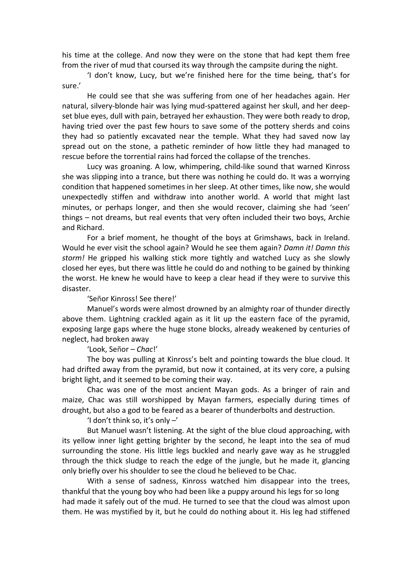his time at the college. And now they were on the stone that had kept them free from the river of mud that coursed its way through the campsite during the night.

'I don't know, Lucy, but we're finished here for the time being, that's for sure.'

He could see that she was suffering from one of her headaches again. Her natural, silvery-blonde hair was lying mud-spattered against her skull, and her deepset blue eyes, dull with pain, betrayed her exhaustion. They were both ready to drop, having tried over the past few hours to save some of the pottery sherds and coins they had so patiently excavated near the temple. What they had saved now lay spread out on the stone, a pathetic reminder of how little they had managed to rescue before the torrential rains had forced the collapse of the trenches.

Lucy was groaning. A low, whimpering, child-like sound that warned Kinross she was slipping into a trance, but there was nothing he could do. It was a worrying condition that happened sometimes in her sleep. At other times, like now, she would unexpectedly stiffen and withdraw into another world. A world that might last minutes, or perhaps longer, and then she would recover, claiming she had 'seen' things – not dreams, but real events that very often included their two boys, Archie and Richard.

For a brief moment, he thought of the boys at Grimshaws, back in Ireland. Would he ever visit the school again? Would he see them again? *Damn it! Damn this storm!* He gripped his walking stick more tightly and watched Lucy as she slowly closed her eyes, but there was little he could do and nothing to be gained by thinking the worst. He knew he would have to keep a clear head if they were to survive this disaster.

'Señor Kinross! See there!'

Manuel's words were almost drowned by an almighty roar of thunder directly above them. Lightning crackled again as it lit up the eastern face of the pyramid, exposing large gaps where the huge stone blocks, already weakened by centuries of neglect, had broken away

'Look, Señor – *Chac!'* 

The boy was pulling at Kinross's belt and pointing towards the blue cloud. It had drifted away from the pyramid, but now it contained, at its very core, a pulsing bright light, and it seemed to be coming their way.

Chac was one of the most ancient Mayan gods. As a bringer of rain and maize, Chac was still worshipped by Mayan farmers, especially during times of drought, but also a god to be feared as a bearer of thunderbolts and destruction.

'I don't think so, it's only  $-$ '

But Manuel wasn't listening. At the sight of the blue cloud approaching, with its yellow inner light getting brighter by the second, he leapt into the sea of mud surrounding the stone. His little legs buckled and nearly gave way as he struggled through the thick sludge to reach the edge of the jungle, but he made it, glancing only briefly over his shoulder to see the cloud he believed to be Chac.

With a sense of sadness, Kinross watched him disappear into the trees, thankful that the young boy who had been like a puppy around his legs for so long had made it safely out of the mud. He turned to see that the cloud was almost upon them. He was mystified by it, but he could do nothing about it. His leg had stiffened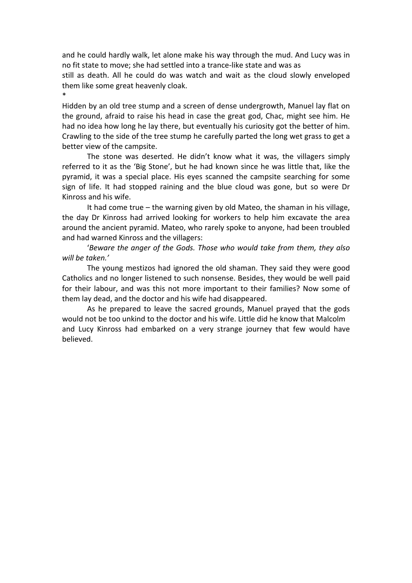and he could hardly walk, let alone make his way through the mud. And Lucy was in no fit state to move; she had settled into a trance-like state and was as

still as death. All he could do was watch and wait as the cloud slowly enveloped them like some great heavenly cloak.

\*

Hidden by an old tree stump and a screen of dense undergrowth, Manuel lay flat on the ground, afraid to raise his head in case the great god, Chac, might see him. He had no idea how long he lay there, but eventually his curiosity got the better of him. Crawling to the side of the tree stump he carefully parted the long wet grass to get a better view of the campsite.

The stone was deserted. He didn't know what it was, the villagers simply referred to it as the 'Big Stone', but he had known since he was little that, like the pyramid, it was a special place. His eyes scanned the campsite searching for some sign of life. It had stopped raining and the blue cloud was gone, but so were Dr Kinross and his wife.

It had come true – the warning given by old Mateo, the shaman in his village, the day Dr Kinross had arrived looking for workers to help him excavate the area around the ancient pyramid. Mateo, who rarely spoke to anyone, had been troubled and had warned Kinross and the villagers:

'Beware the anger of the Gods. Those who would *take from them, they also* will be taken.'

The young mestizos had ignored the old shaman. They said they were good Catholics and no longer listened to such nonsense. Besides, they would be well paid for their labour, and was this not more important to their families? Now some of them lay dead, and the doctor and his wife had disappeared.

As he prepared to leave the sacred grounds, Manuel prayed that the gods would not be too unkind to the doctor and his wife. Little did he know that Malcolm and Lucy Kinross had embarked on a very strange journey that few would have believed.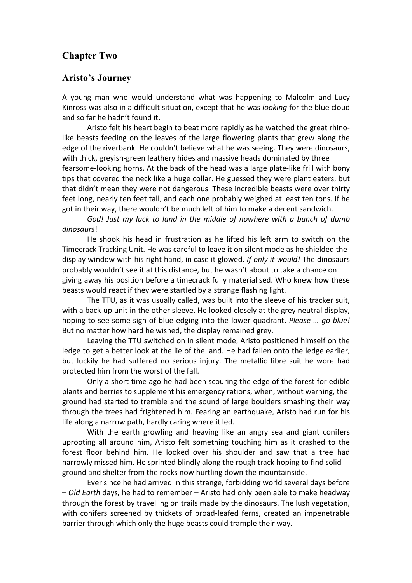## **Chapter Two**

#### **Aristo's Journey**

A young man who would understand what was happening to Malcolm and Lucy Kinross was also in a difficult situation, except that he was *looking* for the blue cloud and so far he hadn't found it.

Aristo felt his heart begin to beat more rapidly as he watched the great rhinolike beasts feeding on the leaves of the large flowering plants that grew along the edge of the riverbank. He couldn't believe what he was seeing. They were dinosaurs, with thick, greyish-green leathery hides and massive heads dominated by three fearsome-looking horns. At the back of the head was a large plate-like frill with bony tips that covered the neck like a huge collar. He guessed they were plant eaters, but that didn't mean they were not dangerous. These incredible beasts were over thirty feet long, nearly ten feet tall, and each one probably weighed at least ten tons. If he got in their way, there wouldn't be much left of him to make a decent sandwich.

God! Just my luck to land in the middle of nowhere with a bunch of dumb *dinosaurs*!

He shook his head in frustration as he lifted his left arm to switch on the Timecrack Tracking Unit. He was careful to leave it on silent mode as he shielded the display window with his right hand, in case it glowed. *If only it would!* The dinosaurs probably wouldn't see it at this distance, but he wasn't about to take a chance on giving away his position before a timecrack fully materialised. Who knew how these beasts would react if they were startled by a strange flashing light.

The TTU, as it was usually called, was built into the sleeve of his tracker suit, with a back-up unit in the other sleeve. He looked closely at the grey neutral display, hoping to see some sign of blue edging into the lower quadrant. *Please ... go blue!* But no matter how hard he wished, the display remained grey.

Leaving the TTU switched on in silent mode, Aristo positioned himself on the ledge to get a better look at the lie of the land. He had fallen onto the ledge earlier, but luckily he had suffered no serious injury. The metallic fibre suit he wore had protected him from the worst of the fall.

Only a short time ago he had been scouring the edge of the forest for edible plants and berries to supplement his emergency rations, when, without warning, the ground had started to tremble and the sound of large boulders smashing their way through the trees had frightened him. Fearing an earthquake, Aristo had run for his life along a narrow path, hardly caring where it led.

With the earth growling and heaving like an angry sea and giant conifers uprooting all around him, Aristo felt something touching him as it crashed to the forest floor behind him. He looked over his shoulder and saw that a tree had narrowly missed him. He sprinted blindly along the rough track hoping to find solid ground and shelter from the rocks now hurtling down the mountainside.

Ever since he had arrived in this strange, forbidding world several days before  $-$  *Old Earth* days, he had to remember – Aristo had only been able to make headway through the forest by travelling on trails made by the dinosaurs. The lush vegetation, with conifers screened by thickets of broad-leafed ferns, created an impenetrable barrier through which only the huge beasts could trample their way.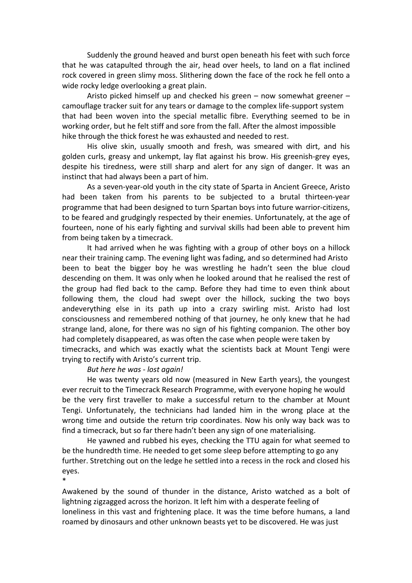Suddenly the ground heaved and burst open beneath his feet with such force that he was catapulted through the air, head over heels, to land on a flat inclined rock covered in green slimy moss. Slithering down the face of the rock he fell onto a wide rocky ledge overlooking a great plain.

Aristo picked himself up and checked his green – now somewhat greener – camouflage tracker suit for any tears or damage to the complex life-support system that had been woven into the special metallic fibre. Everything seemed to be in working order, but he felt stiff and sore from the fall. After the almost impossible hike through the thick forest he was exhausted and needed to rest.

His olive skin, usually smooth and fresh, was smeared with dirt, and his golden curls, greasy and unkempt, lay flat against his brow. His greenish-grey eyes, despite his tiredness, were still sharp and alert for any sign of danger. It was an instinct that had always been a part of him.

As a seven-year-old youth in the city state of Sparta in Ancient Greece, Aristo had been taken from his parents to be subjected to a brutal thirteen-year programme that had been designed to turn Spartan boys into future warrior-citizens, to be feared and grudgingly respected by their enemies. Unfortunately, at the age of fourteen, none of his early fighting and survival skills had been able to prevent him from being taken by a timecrack.

It had arrived when he was fighting with a group of other boys on a hillock near their training camp. The evening light was fading, and so determined had Aristo been to beat the bigger boy he was wrestling he hadn't seen the blue cloud descending on them. It was only when he looked around that he realised the rest of the group had fled back to the camp. Before they had time to even think about following them, the cloud had swept over the hillock, sucking the two boys andeverything else in its path up into a crazy swirling mist. Aristo had lost consciousness and remembered nothing of that journey, he only knew that he had strange land, alone, for there was no sign of his fighting companion. The other boy had completely disappeared, as was often the case when people were taken by timecracks, and which was exactly what the scientists back at Mount Tengi were trying to rectify with Aristo's current trip.

#### *But here he was - lost again!*

\*

He was twenty years old now (measured in New Earth years), the youngest ever recruit to the Timecrack Research Programme, with everyone hoping he would be the very first traveller to make a successful return to the chamber at Mount Tengi. Unfortunately, the technicians had landed him in the wrong place at the wrong time and outside the return trip coordinates. Now his only way back was to find a timecrack, but so far there hadn't been any sign of one materialising.

He yawned and rubbed his eyes, checking the TTU again for what seemed to be the hundredth time. He needed to get some sleep before attempting to go any further. Stretching out on the ledge he settled into a recess in the rock and closed his eyes.

Awakened by the sound of thunder in the distance, Aristo watched as a bolt of lightning zigzagged across the horizon. It left him with a desperate feeling of loneliness in this vast and frightening place. It was the time before humans, a land roamed by dinosaurs and other unknown beasts yet to be discovered. He was just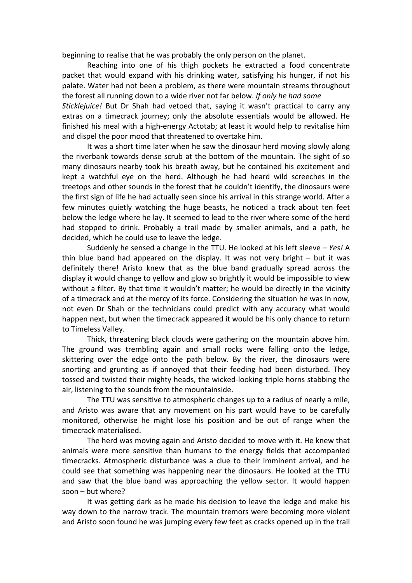beginning to realise that he was probably the only person on the planet.

Reaching into one of his thigh pockets he extracted a food concentrate packet that would expand with his drinking water, satisfying his hunger, if not his palate. Water had not been a problem, as there were mountain streams throughout the forest all running down to a wide river not far below. If only he had some

*Sticklejuice!* But Dr Shah had vetoed that, saying it wasn't practical to carry any extras on a timecrack journey; only the absolute essentials would be allowed. He finished his meal with a high-energy Actotab; at least it would help to revitalise him and dispel the poor mood that threatened to overtake him.

It was a short time later when he saw the dinosaur herd moving slowly along the riverbank towards dense scrub at the bottom of the mountain. The sight of so many dinosaurs nearby took his breath away, but he contained his excitement and kept a watchful eye on the herd. Although he had heard wild screeches in the treetops and other sounds in the forest that he couldn't identify, the dinosaurs were the first sign of life he had actually seen since his arrival in this strange world. After a few minutes quietly watching the huge beasts, he noticed a track about ten feet below the ledge where he lay. It seemed to lead to the river where some of the herd had stopped to drink. Probably a trail made by smaller animals, and a path, he decided, which he could use to leave the ledge.

Suddenly he sensed a change in the TTU. He looked at his left sleeve – *Yes!* A thin blue band had appeared on the display. It was not very bright  $-$  but it was definitely there! Aristo knew that as the blue band gradually spread across the display it would change to yellow and glow so brightly it would be impossible to view without a filter. By that time it wouldn't matter; he would be directly in the vicinity of a timecrack and at the mercy of its force. Considering the situation he was in now, not even Dr Shah or the technicians could predict with any accuracy what would happen next, but when the timecrack appeared it would be his only chance to return to Timeless Valley.

Thick, threatening black clouds were gathering on the mountain above him. The ground was trembling again and small rocks were falling onto the ledge, skittering over the edge onto the path below. By the river, the dinosaurs were snorting and grunting as if annoyed that their feeding had been disturbed. They tossed and twisted their mighty heads, the wicked-looking triple horns stabbing the air, listening to the sounds from the mountainside.

The TTU was sensitive to atmospheric changes up to a radius of nearly a mile, and Aristo was aware that any movement on his part would have to be carefully monitored, otherwise he might lose his position and be out of range when the timecrack!materialised.

The herd was moving again and Aristo decided to move with it. He knew that animals were more sensitive than humans to the energy fields that accompanied timecracks. Atmospheric disturbance was a clue to their imminent arrival, and he could see that something was happening near the dinosaurs. He looked at the TTU and saw that the blue band was approaching the yellow sector. It would happen soon – but where?

It was getting dark as he made his decision to leave the ledge and make his way down to the narrow track. The mountain tremors were becoming more violent and Aristo soon found he was jumping every few feet as cracks opened up in the trail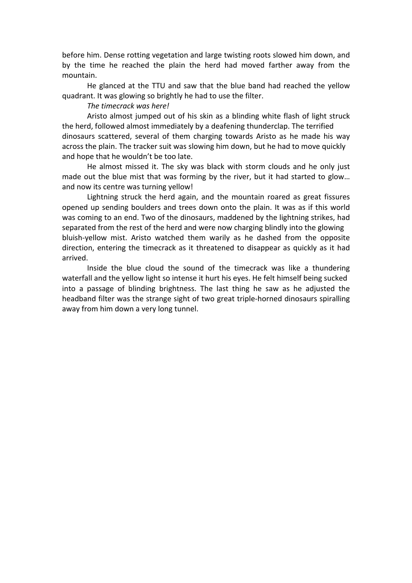before him. Dense rotting vegetation and large twisting roots slowed him down, and by the time he reached the plain the herd had moved farther away from the mountain.

He glanced at the TTU and saw that the blue band had reached the yellow quadrant. It was glowing so brightly he had to use the filter.

#### *The\$timecrack\$was\$here!*

Aristo almost jumped out of his skin as a blinding white flash of light struck the herd, followed almost immediately by a deafening thunderclap. The terrified dinosaurs scattered, several of them charging towards Aristo as he made his way across the plain. The tracker suit was slowing him down, but he had to move quickly and hope that he wouldn't be too late.

He almost missed it. The sky was black with storm clouds and he only just made out the blue mist that was forming by the river, but it had started to glow... and now its centre was turning yellow!

Lightning struck the herd again, and the mountain roared as great fissures opened up sending boulders and trees down onto the plain. It was as if this world was coming to an end. Two of the dinosaurs, maddened by the lightning strikes, had separated from the rest of the herd and were now charging blindly into the glowing bluish-yellow mist. Aristo watched them warily as he dashed from the opposite direction, entering the timecrack as it threatened to disappear as quickly as it had arrived.

Inside the blue cloud the sound of the timecrack was like a thundering waterfall and the yellow light so intense it hurt his eyes. He felt himself being sucked into a passage of blinding brightness. The last thing he saw as he adjusted the headband filter was the strange sight of two great triple-horned dinosaurs spiralling away from him down a very long tunnel.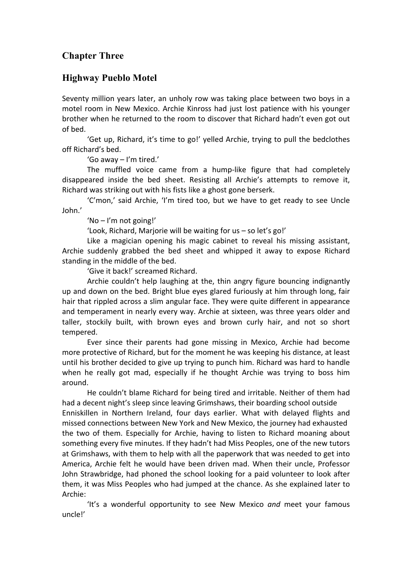# **Chapter Three**

### **Highway Pueblo Motel**

Seventy million years later, an unholy row was taking place between two boys in a motel room in New Mexico. Archie Kinross had just lost patience with his younger brother when he returned to the room to discover that Richard hadn't even got out of hed.

'Get up, Richard, it's time to go!' yelled Archie, trying to pull the bedclothes off Richard's bed.

'Go away – I'm tired.'

The muffled voice came from a hump-like figure that had completely disappeared inside the bed sheet. Resisting all Archie's attempts to remove it, Richard was striking out with his fists like a ghost gone berserk.

'C'mon,' said Archie, 'I'm tired too, but we have to get ready to see Uncle John.'

'No – I'm not going!'

'Look, Richard, Marjorie will be waiting for us – so let's go!'

Like a magician opening his magic cabinet to reveal his missing assistant, Archie suddenly grabbed the bed sheet and whipped it away to expose Richard standing in the middle of the bed.

'Give it back!' screamed Richard.

Archie couldn't help laughing at the, thin angry figure bouncing indignantly up and down on the bed. Bright blue eyes glared furiously at him through long, fair hair that rippled across a slim angular face. They were quite different in appearance and temperament in nearly every way. Archie at sixteen, was three years older and taller, stockily built, with brown eyes and brown curly hair, and not so short tempered.

Ever since their parents had gone missing in Mexico, Archie had become more protective of Richard, but for the moment he was keeping his distance, at least until his brother decided to give up trying to punch him. Richard was hard to handle when he really got mad, especially if he thought Archie was trying to boss him around.

He couldn't blame Richard for being tired and irritable. Neither of them had had a decent night's sleep since leaving Grimshaws, their boarding school outside Enniskillen in Northern Ireland, four days earlier. What with delayed flights and missed connections between New York and New Mexico, the journey had exhausted the two of them. Especially for Archie, having to listen to Richard moaning about something every five minutes. If they hadn't had Miss Peoples, one of the new tutors at Grimshaws, with them to help with all the paperwork that was needed to get into America, Archie felt he would have been driven mad. When their uncle, Professor John Strawbridge, had phoned the school looking for a paid volunteer to look after them, it was Miss Peoples who had jumped at the chance. As she explained later to Archie:

'It's a wonderful opportunity to see New Mexico *and* meet your famous uncle!'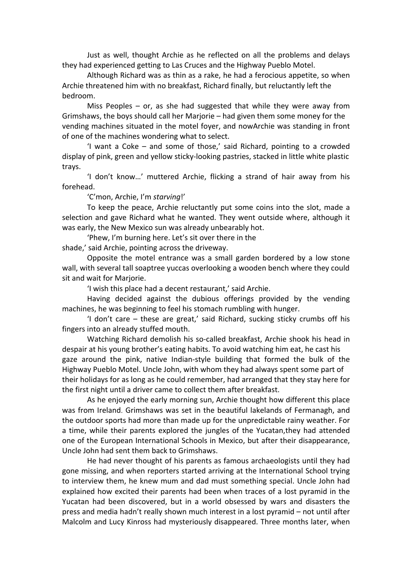Just as well, thought Archie as he reflected on all the problems and delays they had experienced getting to Las Cruces and the Highway Pueblo Motel.

Although Richard was as thin as a rake, he had a ferocious appetite, so when Archie threatened him with no breakfast, Richard finally, but reluctantly left the bedroom.

Miss Peoples  $-$  or, as she had suggested that while they were away from Grimshaws, the boys should call her Marjorie – had given them some money for the vending machines situated in the motel foyer, and nowArchie was standing in front of one of the machines wondering what to select.

'I want a Coke – and some of those,' said Richard, pointing to a crowded display of pink, green and yellow sticky-looking pastries, stacked in little white plastic trays.

'I don't know...' muttered Archie, flicking a strand of hair away from his forehead.

'C'mon, Archie, I'm starving!'

To keep the peace, Archie reluctantly put some coins into the slot, made a selection and gave Richard what he wanted. They went outside where, although it was early, the New Mexico sun was already unbearably hot.

'Phew, I'm burning here. Let's sit over there in the

shade,' said Archie, pointing across the driveway.

Opposite the motel entrance was a small garden bordered by a low stone wall, with several tall soaptree yuccas overlooking a wooden bench where they could sit and wait for Mariorie.

'I wish this place had a decent restaurant,' said Archie.

Having decided against the dubious offerings provided by the vending machines, he was beginning to feel his stomach rumbling with hunger.

'I don't care  $-$  these are great,' said Richard, sucking sticky crumbs off his fingers into an already stuffed mouth.

Watching Richard demolish his so-called breakfast, Archie shook his head in despair at his young brother's eating habits. To avoid watching him eat, he cast his gaze around the pink, native Indian-style building that formed the bulk of the Highway Pueblo Motel. Uncle John, with whom they had always spent some part of their holidays for as long as he could remember, had arranged that they stay here for the first night until a driver came to collect them after breakfast.

As he enjoyed the early morning sun, Archie thought how different this place was from Ireland. Grimshaws was set in the beautiful lakelands of Fermanagh, and the outdoor sports had more than made up for the unpredictable rainy weather. For a time, while their parents explored the jungles of the Yucatan,they had attended one of the European International Schools in Mexico, but after their disappearance, Uncle John had sent them back to Grimshaws.

He had never thought of his parents as famous archaeologists until they had gone missing, and when reporters started arriving at the International School trying to interview them, he knew mum and dad must something special. Uncle John had explained how excited their parents had been when traces of a lost pyramid in the Yucatan had been discovered, but in a world obsessed by wars and disasters the press and media hadn't really shown much interest in a lost pyramid – not until after Malcolm and Lucy Kinross had mysteriously disappeared. Three months later, when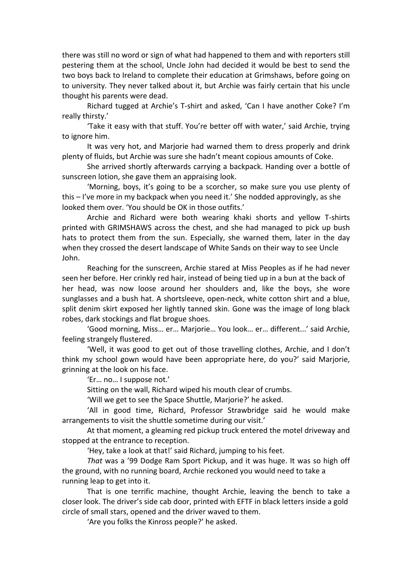there was still no word or sign of what had happened to them and with reporters still pestering them at the school, Uncle John had decided it would be best to send the two boys back to Ireland to complete their education at Grimshaws, before going on to university. They never talked about it, but Archie was fairly certain that his uncle thought his parents were dead.

Richard tugged at Archie's T-shirt and asked, 'Can I have another Coke? I'm really thirsty.'

'Take it easy with that stuff. You're better off with water,' said Archie, trying to ignore him.

It was very hot, and Marjorie had warned them to dress properly and drink plenty of fluids, but Archie was sure she hadn't meant copious amounts of Coke.

She arrived shortly afterwards carrying a backpack. Handing over a bottle of sunscreen lotion, she gave them an appraising look.

'Morning, boys, it's going to be a scorcher, so make sure you use plenty of this  $-$  I've more in my backpack when you need it.' She nodded approvingly, as she looked them over. 'You should be OK in those outfits.'

Archie and Richard were both wearing khaki shorts and yellow T-shirts printed with GRIMSHAWS across the chest, and she had managed to pick up bush hats to protect them from the sun. Especially, she warned them, later in the day when they crossed the desert landscape of White Sands on their way to see Uncle John.

Reaching for the sunscreen, Archie stared at Miss Peoples as if he had never seen her before. Her crinkly red hair, instead of being tied up in a bun at the back of her head, was now loose around her shoulders and, like the boys, she wore sunglasses and a bush hat. A shortsleeve, open-neck, white cotton shirt and a blue, split denim skirt exposed her lightly tanned skin. Gone was the image of long black robes, dark stockings and flat brogue shoes.

'Good morning, Miss... er... Marjorie... You look... er... different...' said Archie, feeling strangely flustered.

'Well, it was good to get out of those travelling clothes, Archie, and I don't think my school gown would have been appropriate here, do you?' said Marjorie, grinning at the look on his face.

'Er... no... I suppose not.'

Sitting on the wall, Richard wiped his mouth clear of crumbs.

'Will we get to see the Space Shuttle, Marjorie?' he asked.

'All in good time, Richard, Professor Strawbridge said he would make arrangements to visit the shuttle sometime during our visit.'

At that moment, a gleaming red pickup truck entered the motel driveway and stopped at the entrance to reception.

'Hey, take a look at that!' said Richard, jumping to his feet.

That was a '99 Dodge Ram Sport Pickup, and it was huge. It was so high off the ground, with no running board, Archie reckoned you would need to take a running leap to get into it.

That is one terrific machine, thought Archie, leaving the bench to take a closer look. The driver's side cab door, printed with EFTF in black letters inside a gold circle of small stars, opened and the driver waved to them.

'Are you folks the Kinross people?' he asked.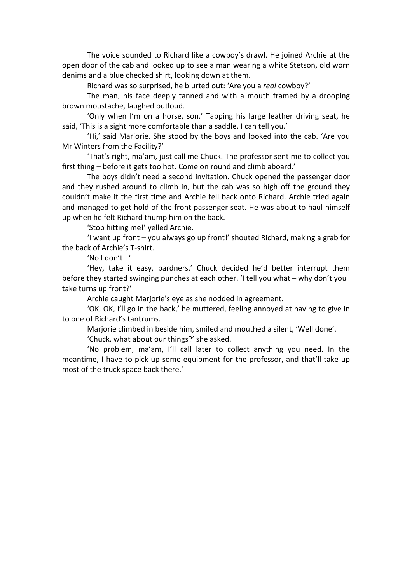The voice sounded to Richard like a cowboy's drawl. He joined Archie at the open door of the cab and looked up to see a man wearing a white Stetson, old worn denims and a blue checked shirt, looking down at them.

Richard was so surprised, he blurted out: 'Are you a *real* cowboy?'

The man, his face deeply tanned and with a mouth framed by a drooping brown moustache, laughed outloud.

'Only when I'm on a horse, son.' Tapping his large leather driving seat, he said, 'This is a sight more comfortable than a saddle, I can tell you.'

'Hi,' said Marjorie. She stood by the boys and looked into the cab. 'Are you Mr Winters from the Facility?'

'That's right, ma'am, just call me Chuck. The professor sent me to collect you first thing – before it gets too hot. Come on round and climb aboard.'

The boys didn't need a second invitation. Chuck opened the passenger door and they rushed around to climb in, but the cab was so high off the ground they couldn't make it the first time and Archie fell back onto Richard. Archie tried again and managed to get hold of the front passenger seat. He was about to haul himself up when he felt Richard thump him on the back.

'Stop hitting me!' yelled Archie.

'I want up front – you always go up front!' shouted Richard, making a grab for the back of Archie's T-shirt.

'No I don't-'

'Hey, take it easy, pardners.' Chuck decided he'd better interrupt them before they started swinging punches at each other. 'I tell you what – why don't you take turns up front?'

Archie caught Marjorie's eye as she nodded in agreement.

'OK, OK, I'll go in the back,' he muttered, feeling annoyed at having to give in to one of Richard's tantrums.

Marjorie climbed in beside him, smiled and mouthed a silent, 'Well done'.

'Chuck, what about our things?' she asked.

'No problem, ma'am, I'll call later to collect anything you need. In the meantime, I have to pick up some equipment for the professor, and that'll take up most of the truck space back there.'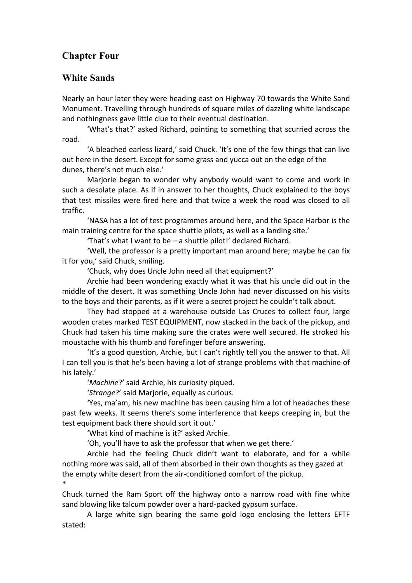# **Chapter Four**

## **White Sands**

Nearly an hour later they were heading east on Highway 70 towards the White Sand Monument. Travelling through hundreds of square miles of dazzling white landscape and nothingness gave little clue to their eventual destination.

'What's that?' asked Richard, pointing to something that scurried across the road.

'A bleached earless lizard,' said Chuck. 'It's one of the few things that can live out here in the desert. Except for some grass and yucca out on the edge of the dunes, there's not much else.'

Marjorie began to wonder why anybody would want to come and work in such a desolate place. As if in answer to her thoughts, Chuck explained to the boys that test missiles were fired here and that twice a week the road was closed to all traffic.

'NASA has a lot of test programmes around here, and the Space Harbor is the main training centre for the space shuttle pilots, as well as a landing site.'

'That's what I want to be – a shuttle pilot!' declared Richard.

'Well, the professor is a pretty important man around here; maybe he can fix it for you,' said Chuck, smiling.

'Chuck, why does Uncle John need all that equipment?'

Archie had been wondering exactly what it was that his uncle did out in the middle of the desert. It was something Uncle John had never discussed on his visits to the boys and their parents, as if it were a secret project he couldn't talk about.

They had stopped at a warehouse outside Las Cruces to collect four, large wooden crates marked TEST EQUIPMENT, now stacked in the back of the pickup, and Chuck had taken his time making sure the crates were well secured. He stroked his moustache with his thumb and forefinger before answering.

'It's a good question, Archie, but I can't rightly tell you the answer to that. All I can tell you is that he's been having a lot of strange problems with that machine of his lately.'

'*Machine*?' said Archie, his curiosity piqued.

'Strange?' said Marjorie, equally as curious.

'Yes, ma'am, his new machine has been causing him a lot of headaches these past few weeks. It seems there's some interference that keeps creeping in, but the test equipment back there should sort it out.'

'What kind of machine is it?' asked Archie.

'Oh, you'll have to ask the professor that when we get there.'

Archie had the feeling Chuck didn't want to elaborate, and for a while nothing more was said, all of them absorbed in their own thoughts as they gazed at the empty white desert from the air-conditioned comfort of the pickup. \*

Chuck turned the Ram Sport off the highway onto a narrow road with fine white sand blowing like talcum powder over a hard-packed gypsum surface.

A large white sign bearing the same gold logo enclosing the letters EFTF stated: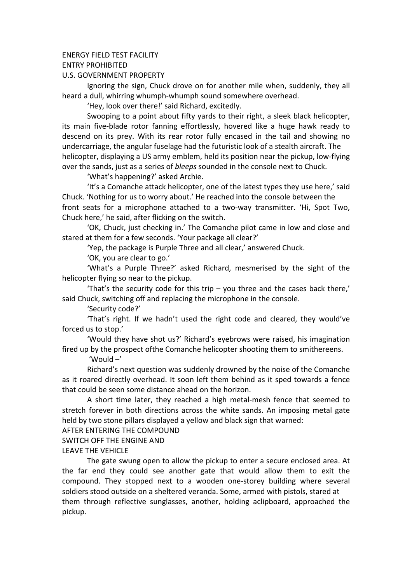#### **FNERGY FIELD TEST FACILITY**

ENTRY!PROHIBITED

U.S. GOVERNMENT PROPERTY

Ignoring the sign, Chuck drove on for another mile when, suddenly, they all heard a dull, whirring whumph-whumph sound somewhere overhead.

'Hey, look over there!' said Richard, excitedly.

Swooping to a point about fifty yards to their right, a sleek black helicopter, its main five-blade rotor fanning effortlessly, hovered like a huge hawk ready to descend on its prey. With its rear rotor fully encased in the tail and showing no undercarriage, the angular fuselage had the futuristic look of a stealth aircraft. The helicopter, displaying a US army emblem, held its position near the pickup, low-flying over the sands, just as a series of *bleeps* sounded in the console next to Chuck.

'What's happening?' asked Archie.

'It's a Comanche attack helicopter, one of the latest types they use here,' said Chuck. 'Nothing for us to worry about.' He reached into the console between the front seats for a microphone attached to a two-way transmitter. 'Hi, Spot Two, Chuck here,' he said, after flicking on the switch.

'OK, Chuck, just checking in.' The Comanche pilot came in low and close and stared at them for a few seconds. 'Your package all clear?'

'Yep, the package is Purple Three and all clear,' answered Chuck.

'OK, you are clear to go.'

'What's a Purple Three?' asked Richard, mesmerised by the sight of the helicopter flying so near to the pickup.

'That's the security code for this trip – you three and the cases back there,' said Chuck, switching off and replacing the microphone in the console.

'Security code?'

'That's right. If we hadn't used the right code and cleared, they would've forced us to stop.'

'Would they have shot us?' Richard's evebrows were raised, his imagination fired up by the prospect of the Comanche helicopter shooting them to smithereens.

'Would –'

Richard's next question was suddenly drowned by the noise of the Comanche as it roared directly overhead. It soon left them behind as it sped towards a fence that could be seen some distance ahead on the horizon.

A short time later, they reached a high metal-mesh fence that seemed to stretch forever in both directions across the white sands. An imposing metal gate held by two stone pillars displayed a yellow and black sign that warned:

AFTER ENTERING THE COMPOUND

SWITCH OFF THE ENGINE AND

#### LEAVE THE VEHICLE

The gate swung open to allow the pickup to enter a secure enclosed area. At the far end they could see another gate that would allow them to exit the compound. They stopped next to a wooden one-storey building where several soldiers stood outside on a sheltered veranda. Some, armed with pistols, stared at them through reflective sunglasses, another, holding aclipboard, approached the pickup.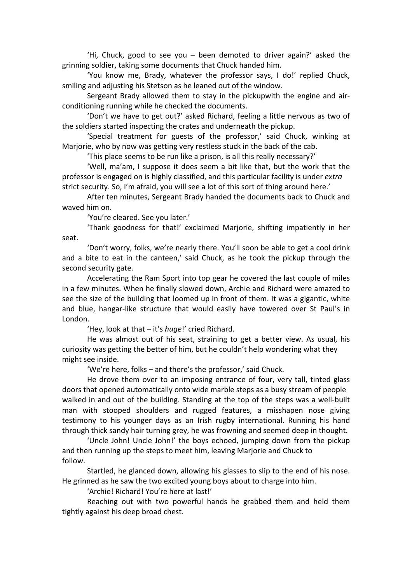'Hi, Chuck, good to see you – been demoted to driver again?' asked the grinning soldier, taking some documents that Chuck handed him.

'You know me, Brady, whatever the professor says, I do!' replied Chuck, smiling and adjusting his Stetson as he leaned out of the window.

Sergeant Brady allowed them to stay in the pickupwith the engine and airconditioning running while he checked the documents.

'Don't we have to get out?' asked Richard, feeling a little nervous as two of the soldiers started inspecting the crates and underneath the pickup.

'Special treatment for guests of the professor,' said Chuck, winking at Marjorie, who by now was getting very restless stuck in the back of the cab.

'This place seems to be run like a prison, is all this really necessary?'

'Well, ma'am, I suppose it does seem a bit like that, but the work that the professor is engaged on is highly classified, and this particular facility is under *extra* strict security. So, I'm afraid, you will see a lot of this sort of thing around here.'

After ten minutes, Sergeant Brady handed the documents back to Chuck and waved him on.

'You're cleared. See you later.'

'Thank goodness for that!' exclaimed Marjorie, shifting impatiently in her seat.

'Don't worry, folks, we're nearly there. You'll soon be able to get a cool drink and a bite to eat in the canteen,' said Chuck, as he took the pickup through the second security gate.

Accelerating the Ram Sport into top gear he covered the last couple of miles in a few minutes. When he finally slowed down, Archie and Richard were amazed to see the size of the building that loomed up in front of them. It was a gigantic, white and blue, hangar-like structure that would easily have towered over St Paul's in London.

'Hey, look at that – it's *huge!'* cried Richard.

He was almost out of his seat, straining to get a better view. As usual, his curiosity was getting the better of him, but he couldn't help wondering what they might see inside.

'We're here, folks – and there's the professor,' said Chuck.

He drove them over to an imposing entrance of four, very tall, tinted glass doors that opened automatically onto wide marble steps as a busy stream of people walked in and out of the building. Standing at the top of the steps was a well-built man with stooped shoulders and rugged features, a misshapen nose giving testimony to his younger days as an Irish rugby international. Running his hand through thick sandy hair turning grey, he was frowning and seemed deep in thought.

'Uncle John! Uncle John!' the boys echoed, jumping down from the pickup and then running up the steps to meet him, leaving Marjorie and Chuck to follow.

Startled, he glanced down, allowing his glasses to slip to the end of his nose. He grinned as he saw the two excited young boys about to charge into him.

'Archie! Richard! You're here at last!'

Reaching out with two powerful hands he grabbed them and held them tightly against his deep broad chest.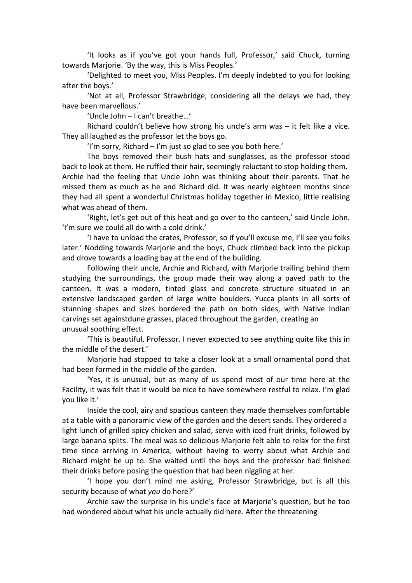'It looks as if you've got your hands full, Professor,' said Chuck, turning towards Marjorie. 'By the way, this is Miss Peoples.'

'Delighted to meet you, Miss Peoples. I'm deeply indebted to you for looking after the boys.'

'Not at all, Professor Strawbridge, considering all the delays we had, they have been marvellous.'

'Uncle John – I can't breathe...'

Richard couldn't believe how strong his uncle's arm was  $-$  it felt like a vice. They all laughed as the professor let the boys go.

'I'm sorry, Richard – I'm just so glad to see you both here.'

The boys removed their bush hats and sunglasses, as the professor stood back to look at them. He ruffled their hair, seemingly reluctant to stop holding them. Archie had the feeling that Uncle John was thinking about their parents. That he missed them as much as he and Richard did. It was nearly eighteen months since they had all spent a wonderful Christmas holiday together in Mexico, little realising what was ahead of them.

'Right, let's get out of this heat and go over to the canteen,' said Uncle John. 'I'm sure we could all do with a cold drink.'

'I have to unload the crates, Professor, so if you'll excuse me, I'll see you folks later.' Nodding towards Marjorie and the boys, Chuck climbed back into the pickup and drove towards a loading bay at the end of the building.

Following their uncle, Archie and Richard, with Marjorie trailing behind them studying the surroundings, the group made their way along a paved path to the canteen. It was a modern, tinted glass and concrete structure situated in an extensive landscaped garden of large white boulders. Yucca plants in all sorts of stunning shapes and sizes bordered the path on both sides, with Native Indian carvings set againstdune grasses, placed throughout the garden, creating an unusual soothing effect.

'This is beautiful, Professor. I never expected to see anything quite like this in the middle of the desert.'

Marjorie had stopped to take a closer look at a small ornamental pond that had been formed in the middle of the garden.

'Yes, it is unusual, but as many of us spend most of our time here at the Facility, it was felt that it would be nice to have somewhere restful to relax. I'm glad you like it.'

Inside the cool, airy and spacious canteen they made themselves comfortable at a table with a panoramic view of the garden and the desert sands. They ordered a light lunch of grilled spicy chicken and salad, serve with iced fruit drinks, followed by large banana splits. The meal was so delicious Marjorie felt able to relax for the first time since arriving in America, without having to worry about what Archie and Richard might be up to. She waited until the boys and the professor had finished their drinks before posing the question that had been niggling at her.

'I hope you don't mind me asking, Professor Strawbridge, but is all this security because of what *you* do here?'

Archie saw the surprise in his uncle's face at Marjorie's question, but he too had wondered about what his uncle actually did here. After the threatening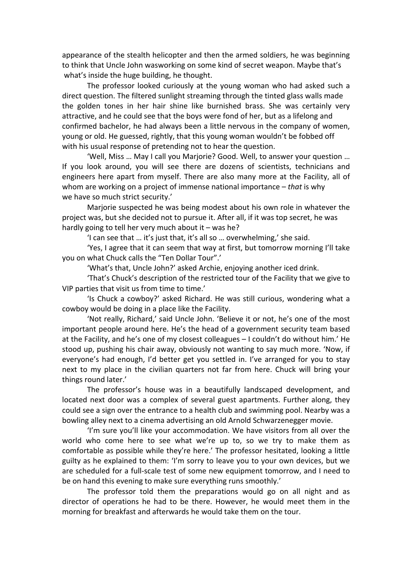appearance of the stealth helicopter and then the armed soldiers, he was beginning to think that Uncle John wasworking on some kind of secret weapon. Maybe that's what's inside the huge building, he thought.

The professor looked curiously at the young woman who had asked such a direct question. The filtered sunlight streaming through the tinted glass walls made the golden tones in her hair shine like burnished brass. She was certainly very attractive, and he could see that the boys were fond of her, but as a lifelong and confirmed bachelor, he had always been a little nervous in the company of women, young or old. He guessed, rightly, that this young woman wouldn't be fobbed off with his usual response of pretending not to hear the question.

'Well, Miss ... May I call you Marjorie? Good. Well, to answer your question ... If you look around, you will see there are dozens of scientists, technicians and engineers here apart from myself. There are also many more at the Facility, all of whom are working on a project of immense national importance – *that* is why we have so much strict security.'

Marjorie suspected he was being modest about his own role in whatever the project was, but she decided not to pursue it. After all, if it was top secret, he was hardly going to tell her very much about it – was he?

'I can see that ... it's just that, it's all so ... overwhelming,' she said.

'Yes, I agree that it can seem that way at first, but tomorrow morning I'll take you on what Chuck calls the "Ten Dollar Tour".'

'What's that, Uncle John?' asked Archie, enjoying another iced drink.

'That's Chuck's description of the restricted tour of the Facility that we give to VIP parties that visit us from time to time.'

'Is Chuck a cowboy?' asked Richard. He was still curious, wondering what a cowboy would be doing in a place like the Facility.

'Not really, Richard,' said Uncle John. 'Believe it or not, he's one of the most important people around here. He's the head of a government security team based at the Facility, and he's one of my closest colleagues – I couldn't do without him.' He stood up, pushing his chair away, obviously not wanting to say much more. 'Now, if everyone's had enough, I'd better get you settled in. I've arranged for you to stay next to my place in the civilian quarters not far from here. Chuck will bring your things round later.'

The professor's house was in a beautifully landscaped development, and located next door was a complex of several guest apartments. Further along, they could see a sign over the entrance to a health club and swimming pool. Nearby was a bowling alley next to a cinema advertising an old Arnold Schwarzenegger movie.

'I'm sure you'll like your accommodation. We have visitors from all over the world who come here to see what we're up to, so we try to make them as comfortable as possible while they're here.' The professor hesitated, looking a little guilty as he explained to them: 'I'm sorry to leave you to your own devices, but we are scheduled for a full-scale test of some new equipment tomorrow, and I need to be on hand this evening to make sure everything runs smoothly.'

The professor told them the preparations would go on all night and as director of operations he had to be there. However, he would meet them in the morning for breakfast and afterwards he would take them on the tour.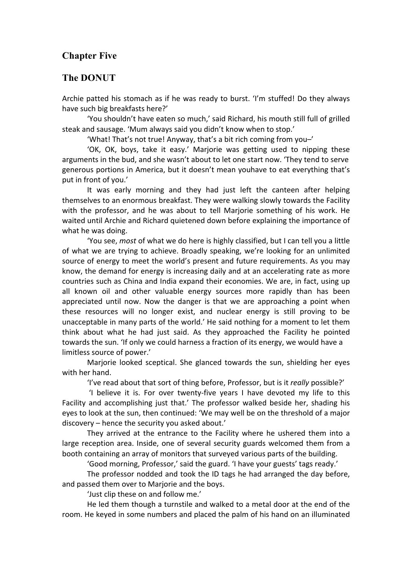## **Chapter Five**

#### **The DONUT**

Archie patted his stomach as if he was ready to burst. 'I'm stuffed! Do they always have such big breakfasts here?'

'You shouldn't have eaten so much,' said Richard, his mouth still full of grilled steak and sausage. 'Mum always said you didn't know when to stop.'

'What! That's not true! Anyway, that's a bit rich coming from you-'

'OK, OK, boys, take it easy.' Marjorie was getting used to nipping these arguments in the bud, and she wasn't about to let one start now. 'They tend to serve generous portions in America, but it doesn't mean youhave to eat everything that's put in front of you.'

It was early morning and they had just left the canteen after helping themselves to an enormous breakfast. They were walking slowly towards the Facility with the professor, and he was about to tell Marjorie something of his work. He waited until Archie and Richard quietened down before explaining the importance of what he was doing.

'You see, *most* of what we do here is highly classified, but I can tell you a little of what we are trying to achieve. Broadly speaking, we're looking for an unlimited source of energy to meet the world's present and future requirements. As you may know, the demand for energy is increasing daily and at an accelerating rate as more countries such as China and India expand their economies. We are, in fact, using up all known oil and other valuable energy sources more rapidly than has been appreciated until now. Now the danger is that we are approaching a point when these resources will no longer exist, and nuclear energy is still proving to be unacceptable in many parts of the world.' He said nothing for a moment to let them think about what he had just said. As they approached the Facility he pointed towards the sun. 'If only we could harness a fraction of its energy, we would have a limitless source of power.'

Marjorie looked sceptical. She glanced towards the sun, shielding her eyes with her hand.

'I've read about that sort of thing before, Professor, but is it *really* possible?'

'I believe it is. For over twenty-five years I have devoted my life to this Facility and accomplishing just that.' The professor walked beside her, shading his eyes to look at the sun, then continued: 'We may well be on the threshold of a major discovery – hence the security you asked about.'

They arrived at the entrance to the Facility where he ushered them into a large reception area. Inside, one of several security guards welcomed them from a booth containing an array of monitors that surveyed various parts of the building.

'Good morning, Professor,' said the guard. 'I have your guests' tags ready.'

The professor nodded and took the ID tags he had arranged the day before, and passed them over to Marjorie and the boys.

'Just clip these on and follow me.'

He led them though a turnstile and walked to a metal door at the end of the room. He keyed in some numbers and placed the palm of his hand on an illuminated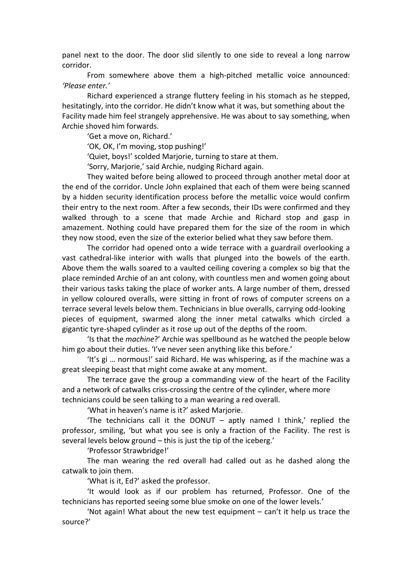panel next to the door. The door slid silently to one side to reveal a long narrow corridor.

From somewhere above them a high-pitched metallic voice announced: *'Please\$enter.'*

Richard experienced a strange fluttery feeling in his stomach as he stepped, hesitatingly, into the corridor. He didn't know what it was, but something about the Facility made him feel strangely apprehensive. He was about to say something, when Archie shoved him forwards.

'Get a move on, Richard.'

'OK, OK, I'm moving, stop pushing!'

'Quiet, boys!' scolded Marjorie, turning to stare at them.

'Sorry, Marjorie,' said Archie, nudging Richard again.

They waited before being allowed to proceed through another metal door at the end of the corridor. Uncle John explained that each of them were being scanned by a hidden security identification process before the metallic voice would confirm their entry to the next room. After a few seconds, their IDs were confirmed and they walked through to a scene that made Archie and Richard stop and gasp in amazement. Nothing could have prepared them for the size of the room in which they now stood, even the size of the exterior belied what they saw before them.

The corridor had opened onto a wide terrace with a guardrail overlooking a vast cathedral-like interior with walls that plunged into the bowels of the earth. Above them the walls soared to a vaulted ceiling covering a complex so big that the place reminded Archie of an ant colony, with countless men and women going about their various tasks taking the place of worker ants. A large number of them, dressed in yellow coloured overalls, were sitting in front of rows of computer screens on a terrace several levels below them. Technicians in blue overalls, carrying odd-looking pieces of equipment, swarmed along the inner metal catwalks which circled a gigantic tyre-shaped cylinder as it rose up out of the depths of the room.

'Is that the *machine*?' Archie was spellbound as he watched the people below him go about their duties. 'I've never seen anything like this before.'

'It's gi ... normous!' said Richard. He was whispering, as if the machine was a great sleeping beast that might come awake at any moment.

The terrace gave the group a commanding view of the heart of the Facility and a network of catwalks criss-crossing the centre of the cylinder, where more technicians could be seen talking to a man wearing a red overall.

'What in heaven's name is it?' asked Marjorie.

'The technicians call it the DONUT – aptly named I think,' replied the professor, smiling, 'but what you see is only a fraction of the Facility. The rest is several levels below ground – this is just the tip of the iceberg.'

'Professor Strawbridge!'

The man wearing the red overall had called out as he dashed along the catwalk to join them.

'What is it, Ed?' asked the professor.

'It would look as if our problem has returned, Professor. One of the technicians has reported seeing some blue smoke on one of the lower levels.'

'Not again! What about the new test equipment – can't it help us trace the source?'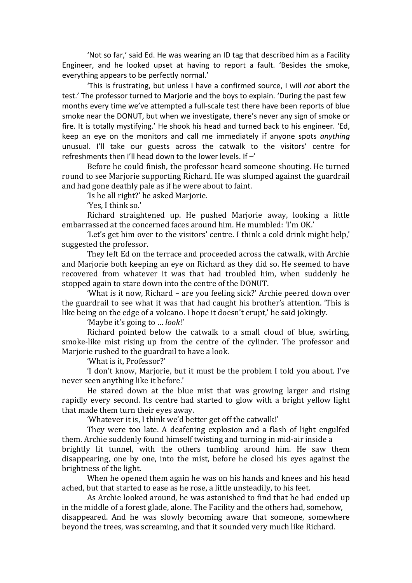'Not so far,' said Ed. He was wearing an ID tag that described him as a Facility Engineer, and he looked upset at having to report a fault. 'Besides the smoke, everything appears to be perfectly normal.'

'This is frustrating, but unless I have a confirmed source, I will *not* abort the test.' The professor turned to Mariorie and the boys to explain. 'During the past few months every time we've attempted a full-scale test there have been reports of blue smoke near the DONUT, but when we investigate, there's never any sign of smoke or fire. It is totally mystifying.' He shook his head and turned back to his engineer. 'Ed, keep an eye on the monitors and call me immediately if anyone spots *anything* unusual. I'll take our guests across the catwalk to the visitors' centre for refreshments then I'll head down to the lower levels. If  $-$ '

Before he could finish, the professor heard someone shouting. He turned round to see Marjorie supporting Richard. He was slumped against the guardrail and had gone deathly pale as if he were about to faint.

'Is he all right?' he asked Marjorie.

'Yes, I think so.'

Richard straightened up. He pushed Marjorie away, looking a little embarrassed at the concerned faces around him. He mumbled: 'I'm OK.'

'Let's get him over to the visitors' centre. I think a cold drink might help,' suggested the professor.

They left Ed on the terrace and proceeded across the catwalk, with Archie and Mariorie both keeping an eve on Richard as they did so. He seemed to have recovered from whatever it was that had troubled him, when suddenly he stopped again to stare down into the centre of the DONUT.

'What is it now, Richard – are you feeling sick?' Archie peered down over the guardrail to see what it was that had caught his brother's attention. 'This is like being on the edge of a volcano. I hope it doesn't erupt,' he said jokingly.

'Maybe it's going to ... *look!'* 

Richard pointed below the catwalk to a small cloud of blue, swirling, smoke-like mist rising up from the centre of the cylinder. The professor and Mariorie rushed to the guardrail to have a look.

'What is it. Professor?'

'I don't know, Marjorie, but it must be the problem I told you about. I've never seen anything like it before.'

He stared down at the blue mist that was growing larger and rising rapidly every second. Its centre had started to glow with a bright yellow light that made them turn their eyes away.

'Whatever it is, I think we'd better get off the catwalk!'

They were too late. A deafening explosion and a flash of light engulfed them. Archie suddenly found himself twisting and turning in mid-air inside a brightly lit tunnel, with the others tumbling around him. He saw them disappearing, one by one, into the mist, before he closed his eyes against the brightness of the light.

When he opened them again he was on his hands and knees and his head ached, but that started to ease as he rose, a little unsteadily, to his feet.

As Archie looked around, he was astonished to find that he had ended up in the middle of a forest glade, alone. The Facility and the others had, somehow, disappeared. And he was slowly becoming aware that someone, somewhere beyond the trees, was screaming, and that it sounded very much like Richard.